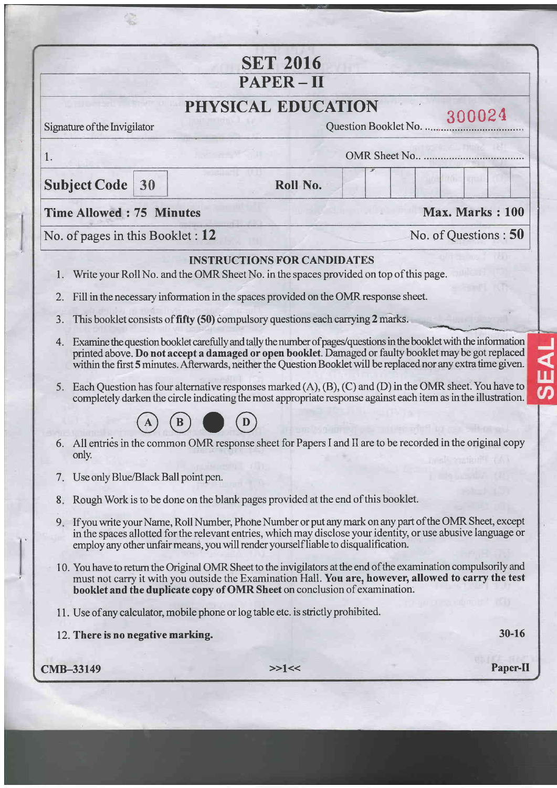|                                                                                            | <b>SET 2016</b>                                                                                                                                                                                                                                                                                                                                                                                                                                                                                                                                                                                                                                                                                                                                                                                                                                           |                         |  |                 |           |
|--------------------------------------------------------------------------------------------|-----------------------------------------------------------------------------------------------------------------------------------------------------------------------------------------------------------------------------------------------------------------------------------------------------------------------------------------------------------------------------------------------------------------------------------------------------------------------------------------------------------------------------------------------------------------------------------------------------------------------------------------------------------------------------------------------------------------------------------------------------------------------------------------------------------------------------------------------------------|-------------------------|--|-----------------|-----------|
|                                                                                            | $PAPER - II$                                                                                                                                                                                                                                                                                                                                                                                                                                                                                                                                                                                                                                                                                                                                                                                                                                              |                         |  |                 |           |
| PHYSICAL EDUCATION                                                                         |                                                                                                                                                                                                                                                                                                                                                                                                                                                                                                                                                                                                                                                                                                                                                                                                                                                           |                         |  |                 |           |
| Signature of the Invigilator                                                               |                                                                                                                                                                                                                                                                                                                                                                                                                                                                                                                                                                                                                                                                                                                                                                                                                                                           | Question Booklet No     |  | 300024          |           |
| OMR Sheet No<br>1.                                                                         |                                                                                                                                                                                                                                                                                                                                                                                                                                                                                                                                                                                                                                                                                                                                                                                                                                                           |                         |  |                 |           |
| <b>Subject Code</b><br>30                                                                  | Roll No.                                                                                                                                                                                                                                                                                                                                                                                                                                                                                                                                                                                                                                                                                                                                                                                                                                                  |                         |  |                 |           |
| <b>Time Allowed: 75 Minutes</b>                                                            |                                                                                                                                                                                                                                                                                                                                                                                                                                                                                                                                                                                                                                                                                                                                                                                                                                                           |                         |  | Max. Marks: 100 |           |
| No. of pages in this Booklet : $12$                                                        |                                                                                                                                                                                                                                                                                                                                                                                                                                                                                                                                                                                                                                                                                                                                                                                                                                                           | No. of Questions : $50$ |  |                 |           |
| 1.<br>2.<br>3.<br>4.<br>5.                                                                 | Write your Roll No. and the OMR Sheet No. in the spaces provided on top of this page.<br>Fill in the necessary information in the spaces provided on the OMR response sheet.<br>This booklet consists of fifty (50) compulsory questions each carrying 2 marks.<br>Examine the question booklet carefully and tally the number of pages/questions in the booklet with the information<br>printed above. Do not accept a damaged or open booklet. Damaged or faulty booklet may be got replaced<br>within the first 5 minutes. Afterwards, neither the Question Booklet will be replaced nor any extra time given.<br>Each Question has four alternative responses marked $(A)$ , $(B)$ , $(C)$ and $(D)$ in the OMR sheet. You have to<br>completely darken the circle indicating the most appropriate response against each item as in the illustration. |                         |  |                 |           |
| only.                                                                                      | 6. All entries in the common OMR response sheet for Papers I and II are to be recorded in the original copy                                                                                                                                                                                                                                                                                                                                                                                                                                                                                                                                                                                                                                                                                                                                               |                         |  |                 |           |
| Use only Blue/Black Ball point pen.<br>7.<br>8.<br>9.<br>12. There is no negative marking. | Rough Work is to be done on the blank pages provided at the end of this booklet.<br>If you write your Name, Roll Number, Phone Number or put any mark on any part of the OMR Sheet, except<br>in the spaces allotted for the relevant entries, which may disclose your identity, or use abusive language or<br>employ any other unfair means, you will render yourself liable to disqualification.<br>10. You have to return the Original OMR Sheet to the invigilators at the end of the examination compulsorily and<br>must not carry it with you outside the Examination Hall. You are, however, allowed to carry the test<br>booklet and the duplicate copy of OMR Sheet on conclusion of examination.<br>11. Use of any calculator, mobile phone or log table etc. is strictly prohibited.                                                          |                         |  |                 | $30 - 16$ |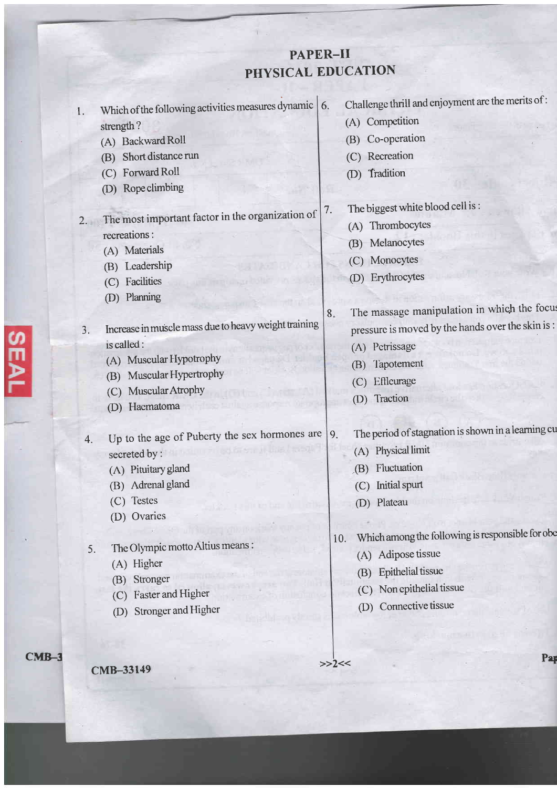## PAPER-II PHYSICAL EDUCATION

| 1. | Which of the following activities measures dynamic $\vert$ 6. | Challenge thrill and enjoyment are the merits of:       |
|----|---------------------------------------------------------------|---------------------------------------------------------|
|    | strength?                                                     | (A) Competition                                         |
|    | (A) Backward Roll                                             | Co-operation<br>(B)                                     |
|    | Short distance run<br>(B)                                     | (C) Recreation                                          |
|    | (C) Forward Roll                                              | Tradition<br>(D)                                        |
|    | (D) Rope climbing                                             |                                                         |
|    |                                                               | The biggest white blood cell is:<br>7.                  |
| 2. | The most important factor in the organization of              | (A) Thrombocytes                                        |
|    | recreations :                                                 | (B) Melanocytes                                         |
|    | (A) Materials                                                 | (C) Monocytes                                           |
|    | (B) Leadership                                                | Erythrocytes<br>(D)                                     |
|    | Facilities<br>(C)                                             |                                                         |
|    | Planning<br>(D)                                               | The massage manipulation in which the focus<br>8.       |
| 3. | Increase in muscle mass due to heavy weight training          | pressure is moved by the hands over the skin is :       |
|    | is called:                                                    | (A) Petrissage                                          |
|    | (A) Muscular Hypotrophy                                       | Tapotement                                              |
|    | Muscular Hypertrophy<br>(B)                                   | (B)                                                     |
|    | Muscular Atrophy<br>(C)                                       | Effleurage<br>(C)<br>(D) Traction                       |
|    | Hacmatoma<br>(D)                                              |                                                         |
|    |                                                               | The period of stagnation is shown in a learning cu      |
| 4. | Up to the age of Puberty the sex hormones are                 | 9.<br>(A) Physical limit                                |
|    | secreted by :                                                 |                                                         |
|    | (A) Pituitary gland                                           | Fluctuation<br>(B)                                      |
|    | (B) Adrenal gland                                             | Initial spurt<br>(C)                                    |
|    | (C) Testes<br>(D) Ovaries                                     | (D) Plateau                                             |
|    |                                                               |                                                         |
| 5. | The Olympic motto Altius means:                               | Which among the following is responsible for obe<br>10. |
|    | (A) Higher                                                    | (A) Adipose tissue                                      |
|    | Stronger<br>(B)                                               | <b>Epithelial</b> tissue<br>(B)                         |
|    | <b>Faster and Higher</b><br>(C)                               | Non epithelial tissue<br>(C)                            |
|    | <b>Stronger and Higher</b><br>(D)                             | Connective tissue<br>(D)                                |
|    |                                                               |                                                         |
|    |                                                               |                                                         |
|    |                                                               | Pap<br>>>2<<                                            |
|    | CMB-33149                                                     |                                                         |

CMB-3

**SEAL**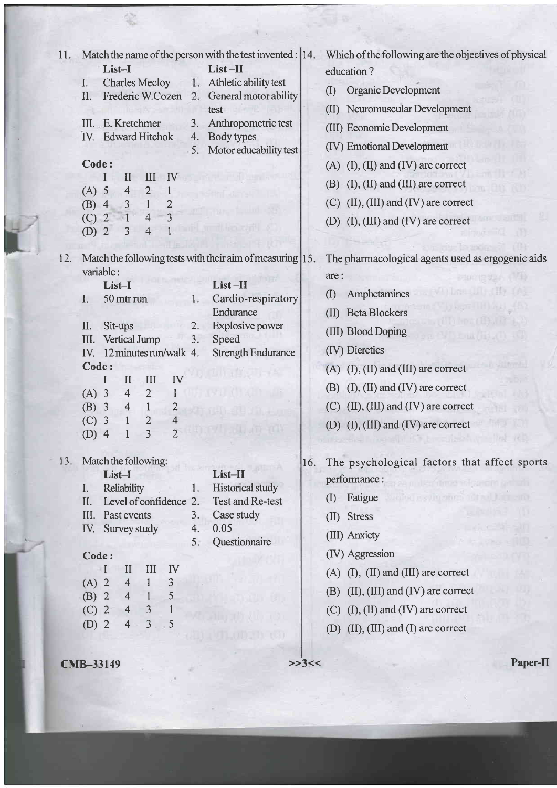| Match the name of the person with the test invented : 14.<br>11.<br>$List-II$<br>List-I<br><b>Charles Mecloy</b><br>Athletic ability test<br>1.<br>I.<br>General motor ability<br>Frederic W.Cozen 2.<br>II.<br>test<br>III. E. Kretchmer<br>Anthropometric test<br>3.<br>IV. Edward Hitchok<br>Body types<br>4.<br>Motor educability test<br>5.<br>Code:<br>IV<br>III<br>II<br>$(A)$ 5<br>4<br>$\overline{2}$<br>$\overline{2}$<br>$\overline{3}$<br>$\mathbf{1}$<br>$(B)$ 4<br>$\overline{\mathbf{3}}$<br>$\overline{4}$<br>$(C)$ 2<br><b>Price country of the Country</b><br>$(D)$ 2<br>$\overline{4}$<br>3 | Which of the following are the objectives of physical<br>education?<br>Organic Development<br>(1)<br>Neuromuscular Development<br>(II)<br>(III) Economic Development<br>(IV) Emotional Development<br>$(A)$ $(I), (IJ)$ and $(IV)$ are correct<br>$(I), (II)$ and $(III)$ are correct<br>(B)<br>$(II)$ , $(III)$ and $(IV)$ are correct<br>(C)<br>(D) $(I), (III)$ and $(IV)$ are correct            |
|----------------------------------------------------------------------------------------------------------------------------------------------------------------------------------------------------------------------------------------------------------------------------------------------------------------------------------------------------------------------------------------------------------------------------------------------------------------------------------------------------------------------------------------------------------------------------------------------------------------|------------------------------------------------------------------------------------------------------------------------------------------------------------------------------------------------------------------------------------------------------------------------------------------------------------------------------------------------------------------------------------------------------|
| Match the following tests with their aim of measuring 15.<br>12.<br>variable:<br>List-II<br>List-I<br>Cardio-respiratory<br>I.<br>50 mtr run<br>1.<br>Endurance<br><b>Explosive power</b><br>II.<br>Sit-ups<br>2.<br>Vertical Jump<br>Speed<br>III.<br>3.<br>IV. 12 minutes run/walk 4.<br><b>Strength Endurance</b><br>Code:<br>III<br>IV<br>$\mathbf{I}$<br>$\overline{2}$<br>$(A)$ 3<br>$\overline{4}$<br>$\overline{4}$<br>$(B)$ 3<br>$\mathbf{1}$<br>$\overline{c}$<br>2<br>$(C)$ 3<br>$\overline{2}$<br>$\overline{3}$<br>$(D)$ 4                                                                        | The pharmacological agents used as ergogenic aids<br>are:<br><b>CHECK TO HIT LOOP</b><br>Amphetamines<br>$\left( \mathrm{I}\right)$<br><b>Beta Blockers</b><br>(II)<br>turn film by<br>(III) Blood Doping<br>(IV) Dieretics<br>$(A)$ (I), (II) and (III) are correct<br>$(B)$ (I), (II) and (IV) are correct<br>$(C)$ (II), (III) and (IV) are correct<br>(D) $(I)$ , $(III)$ and $(IV)$ are correct |
| Match the following:<br>13.<br>List-II<br>List-I<br>Historical study<br><b>Reliability</b><br>$\mathbf{I}$ .<br>1.<br>Test and Re-test<br>Level of confidence 2.<br>II.<br>III.<br>Past events<br>Case study<br>3.<br>0.05<br>IV. Survey study<br>4.<br>Questionnaire<br>5.<br>Code:<br>IV<br>$\mathbf{I}$<br>III<br>T<br>$(A)$ 2<br>$\overline{4}$<br>3<br>$\mathbf{1}$<br>5<br>$(B)$ 2<br>$\overline{4}$<br>$\mathbf{1}$<br>$(C)$ 2<br>$\overline{4}$<br>$\overline{3}$<br>1<br>$\overline{3}$<br>5<br>$(D)$ 2<br>$\overline{4}$<br>rein                                                                     | The psychological factors that affect sports<br>10.<br>performance:<br>ille forme information with the<br>Fatigue<br>n syllveibris 10th i Jan eine<br>$\rm(I)$<br>m<br>(II) Stress<br>(III) Anxiety<br>(IV) Aggression<br>$(A)$ (I), (II) and (III) are correct<br>$(II)$ , $(III)$ and $(IV)$ are correct<br>(B)<br>$(C)$ (I), (II) and (IV) are correct<br>(D) (II), (III) and (I) are correct     |
| <b>CMB-33149</b>                                                                                                                                                                                                                                                                                                                                                                                                                                                                                                                                                                                               | Paper-II<br>>>3<<                                                                                                                                                                                                                                                                                                                                                                                    |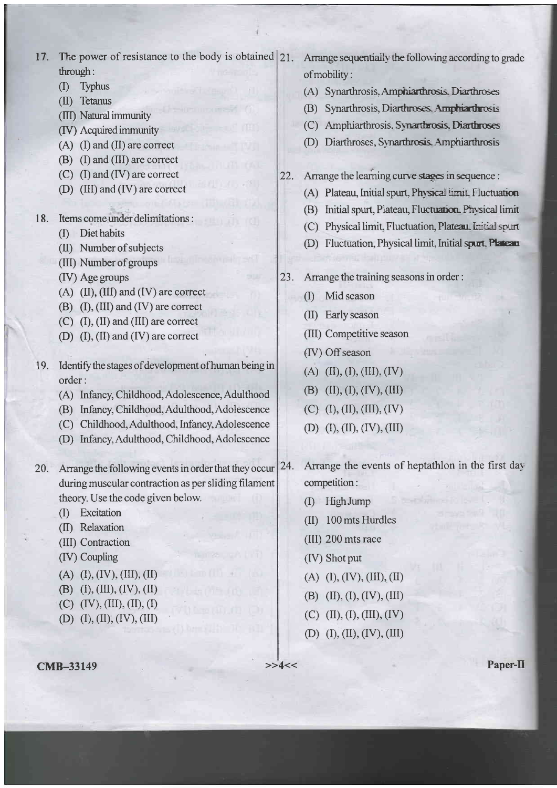17. The power of resistance to the body is obtained  $|21$ . through:

- $(1)$ Typhus
- (II) Tetanus
- (III) Natural immunity
- (IV) Acquired immunity
- $(A)$  (I) and (II) are correct
- (B) (I) and (III) are correct
- $(C)$  (I) and (IV) are correct
- (D) (III) and (IV) are correct
- 18. Items come under delimitations :
	- (I) Diet habits
	- (II) Number of subjects
	- (III) Number of groups
	- (IV) Age groups
	- $(A)$  (II), (III) and (IV) are correct
	- $(B)$  (I), (III) and (IV) are correct
	- $(C)$  (I), (II) and (III) are correct
	- (D)  $(I)$ ,  $(II)$  and  $(IV)$  are correct
- Identify the stages of development of human being in 19. order:
	- (A) Infancy, Childhood, Adolescence, Adulthood
	- (B) Infancy, Childhood, Adulthood, Adolescence
	- (C) Childhood, Adulthood, Infancy, Adolescence
	- (D) Infancy, Adulthood, Childhood, Adolescence
- Arrange the following events in order that they occur  $20.$ during muscular contraction as per sliding filament theory. Use the code given below.
	- (I) Excitation
	- (II) Relaxation
	- (III) Contraction
	- (IV) Coupling
	- $(A)$  (I), (IV), (III), (II)
	- (B) (I), (III), (IV), (II)
	- $(C)$   $(IV), (III), (II), (I)$
	- (D)  $(I), (II), (IV), (III)$

Arrange sequentially the following according to grade of mobility:

- (A) Synarthrosis, Amphiarthrosis, Diarthroses
- (B) Synarthrosis, Diarthroses, Amphiarthrosis
- (C) Amphiarthrosis. Synarthrosis. Diarthroses
- (D) Diarthroses, Synarthrosis, Amphiarthrosis
- $22.$ Arrange the learning curve stages in sequence :
	- (A) Plateau, Initial spurt, Physical limit. Fluctuation
	- (B) Initial spurt, Plateau, Fluctuation. Physical limit
	- (C) Physical limit, Fluctuation, Plateau, Initial spurt
	- (D) Fluctuation, Physical limit, Initial spurt. Plateau
- 23. Arrange the training seasons in order :
	- (I) Mid season
	- (II) Early season
	- (III) Competitive season
	- (IV) Off season
	- (A)  $(II), (I), (III), (IV)$
	- (B)  $(II), (I), (IV), (III)$
	- $(C)$  (I), (II), (III), (IV)
	- (D)  $(I), (II), (IV), (III)$
- Arrange the events of heptathlon in the first day 24. competition:
	- (I) High Jump
	- (II) 100 mts Hurdles
	- (III) 200 mts race
	- (IV) Shot put
	- $(A)$  (I), (IV), (III), (II)
	- (B)  $(II), (I), (IV), (III)$
	- $(C)$  (II), (I), (III), (IV)
	- (D)  $(I), (II), (IV), (III)$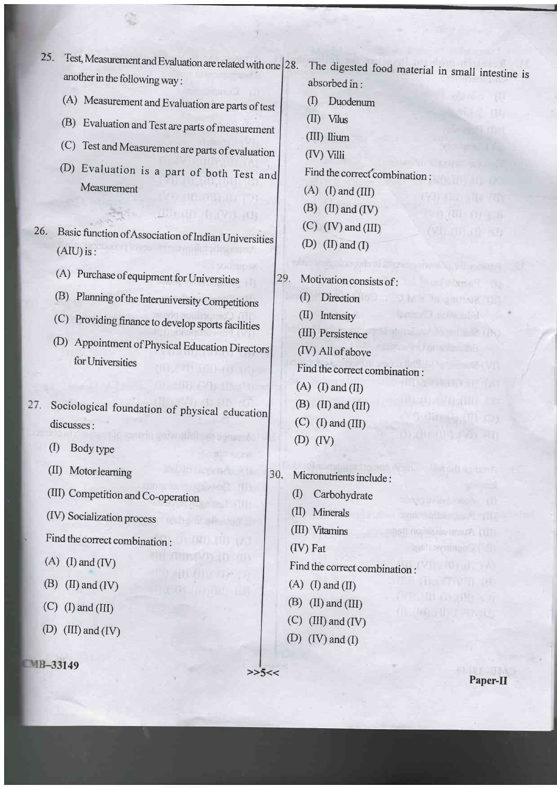25. Test, Measurement and Evaluation are related with one 28. another in the following way : (A) Measurement and Evaluation are parts of test (B) Evaluation and Test are parts of measurement (C) Test and Measurement are parts of evaluation (D) Evaluation is a part of both Test and Measurement **AUDITOR (LIVE) AUDI** 26. Basic function of Association of Indian Universities  $(AIU)$  is: (A) Purchase ofequiprnent for Universities (B) Planning of the Interuniversity Competitions (C) Providing finance to develop sports facilities (D) Appointment of Physical Education Directors for Universities Sociological foundation of physical education discusses : (I) Body type (II) Motorleaming 30. (III) Competition and Co\_operation (IV) Socialization process Find the correct combination : (D) (III) and (IV)  $149$   $>>5<<$ 

(III) Ilium absorbed in : (D Duodenum  $(II)$  Vilus (IV) Villi Find the correct combination:  $(A)$  (I) and (III)  $(B)$  (II) and (IV)  $(C)$  (IV) and (III) (D)  $(II)$  and  $(I)$ Motivation consists of: (D Direction (I) Intensity (III) Persistence

The digested food material in small intestine is

(IV) All of above Find the correct combination :  $(A)$  (I) and (II)

27.

- $(A)$  (I) and (IV)
- (B) (II) and (IV)
- $(C)$  (I) and (III)
- 

Micronutrients include : (D Carbohydrate

 $(B)$  (II) and (III)  $(C)$  (I) and (III)

- (II) Minerals
- (III) Vitamins

 $(D)$   $(IV)$ 

29.

 $(IV)$  Fat

Find the correct combination :

- $(A)$  (I) and (II)
- $(B)$  (II) and (III)
- $(C)$  (III) and (IV)
- (D)  $(IV)$  and  $(I)$

Paper-II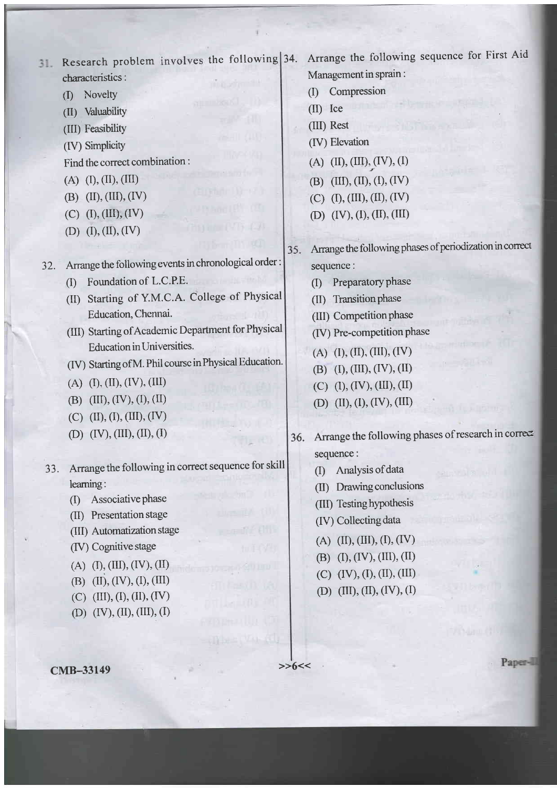Research problem involves the following  $31.$ characteristics:

- (I) Novelty
- (II) Valuability
- (III) Feasibility
- (IV) Simplicity

Find the correct combination :

- $(A)$   $(I), (II), (III)$
- (B)  $(II), (III), (IV)$
- $(C)$  (I), (III), (IV)
- (D)  $(I), (II), (IV)$

32. Arrange the following events in chronological order :

- (I) Foundation of L.C.P.E.
- (II) Starting of Y.M.C.A. College of Physical Education, Chennai.
- (III) Starting of Academic Department for Physical Education in Universities.
- (IV) Starting of M. Phil course in Physical Education.
- $(A)$   $(I), (II), (IV), (III)$
- (B)  $(III), (IV), (I), (II)$
- $(C)$  (II), (I), (III), (IV)
- (D)  $(IV), (III), (II), (I)$
- Arrange the following in correct sequence for skill leaming: JJ.
	- $(I)$  Associative phase
	- (II) Presentation stage
	- (III) Automatization stage
	- (IV) Cognitive stage
	- $(A)$   $(I), (III), (IV), (II)$
	- (B) (II), (IV), (I), (III)
	- $(C)$  (III), (I), (II), (IV)
	- (D)  $(IV), (II), (III), (I)$

Arrange the following sequence for First Aid Management in sprain :

- (I) Compression
- (ID lce
- (III) Rest
- (IV) Elevation
- $(A)$  (II), (III), (IV), (I)
- (B) (III), (II), (I), (IV)
- (C)  $(I), (III), (II), (IV)$
- (D)  $(IV), (I), (II), (III)$
- Arrange the following phases of periodization in conect 35. sequence:
	- (I) Preparatory phase
	- (II) Transition phase
	- (III) Competition Phase
	- (IV) Pre-comPetition Phase
	- $(A)$  (I), (II), (III), (IV)
	- (B)  $(I), (III), (IV), (II)$
	- $(C)$  (I), (IV), (III), (II)
	- (D)  $(II), (I), (IV), (III)$
- Arrange the following phases of research in correct 36. sequence:
	- (D Analysisofdata
	- (II) Drawing conclusions
	- (III) Testing hypothesis
	- (IV) Collecting data
	- $(A)$  (II), (III), (I), (IV)
	- (B) (I), (IV), (III), (II)
	- $(C)$   $(IV), (I), (II), (III)$
	- (D) (III), (II), (IV), (I)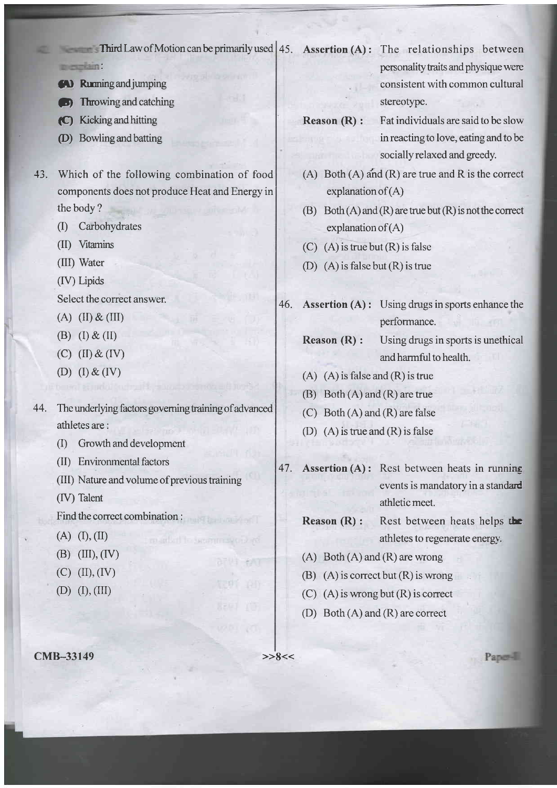Third Law of Motion can be primarily used  $\vert$  45. Assertion (A): The relationships between mergiain.

- **EV Running and jumping**
- **Given** Throwing and catching
- p) Kickingandhitting
- @) Bowlingandbatting
- -13. Which of the following combination of food components does not produce Heat and Energy in the body ?
	- (D Carbohydrates
	- (I) Vitamins
	- (III) Water
	- (IV) Liprds

Select the correct answer.

- $(A)$  (II) & (III)
- (B)  $(I) \& (II)$
- $(C)$   $(II)$  &  $(IV)$
- (D)  $(I) \& (IV)$
- 44. The underlying factors governing training of advanced athletes are :
	- (D Growthanddevelopmcnt
	- (II) Environmental factors
	- (III) Nature and volume of previous training

mailant to second second re-

anva eva

- (IV) Talent
- Find the correct combination :
- $(A)$   $(I), (II)$
- $(B)$  (III), (IV)
- $(C)$   $(II), (IV)$
- $(D)$   $(I), (III)$

 $CMB-33149$   $>>8<<$ 

- personality traits and physique were consistent with common cultural stereotype.
- 
- **Reason**  $(R)$ **:** Fat individuals are said to be slow in reacting to love, eating and to be socially relaxed and greedy.
- (A) Both  $(A)$  and  $(R)$  are true and R is the correct explanation of  $(A)$
- (B) Both  $(A)$  and  $(R)$  are true but  $(R)$  is not the correct explanation of  $(A)$
- (C) (A) is true but  $(R)$  is false
- (D) (A) is false but  $(R)$  is true
- Assertion  $(A)$ : Using drugs in sports enhance the performance. 46.

- Reason (R) : Using drugs in sports is unethical and harmful to health.
- (A)  $(A)$  is false and  $(R)$  is true
- $(B)$  Both  $(A)$  and  $(R)$  are true
- (C) Both  $(A)$  and  $(R)$  are false
- (D) (A) is true and (R) is false
- Assertion (A) : Rest between heats in running events is mandatory in a standard athleticmeet. 47.
	- Reason (R) : Rest between heats helps the athletes to regenerate energy.
	- (A) Both  $(A)$  and  $(R)$  are wrong
	- (B) (A) is correct but  $(R)$  is wrong
	- (C)  $(A)$  is wrong but  $(R)$  is correct
	- (D) Both (A) and (R) are correct

Paper-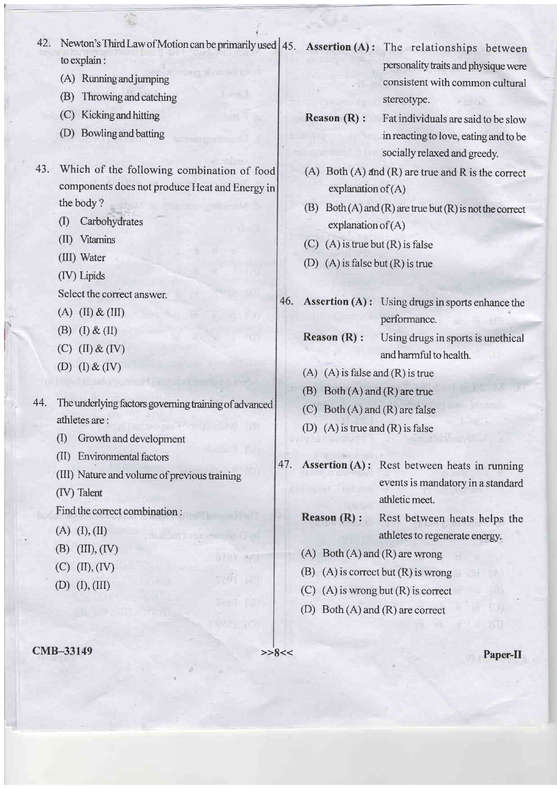- 42. Newton's Third Law of Motion can be primarily used  $\left(45.$  Assertion (A): The relationships between to explain:
	- (A) Running and jumping
	- (B) Throwing and catching
	- (C) Kickingandhitting
	- (D) Bowling and batting
- Which of the following combination of food 43. components does not produce Heat and Energy in the body ?
	- (I) Carbohydrates
	- (II) Vitamins
	- (III) Water
	- (IV) Lipids

Select the correct answer.

- $(A)$  (II) & (III)
- (B)  $(I) \& (II)$
- $(C)$  (II) & (IV)
- (D)  $(I) \& (IV)$
- 44. The underlying factors governing training of advanced athletes are :
	- (I) Growthanddevelopmcnt
	- (ll) Environmental factors
	- (III) Nature and volume of previous training

stallan to sporting a Dad

(IV) Talent

- Find the correct combination :
- $(A)$   $(I), (II)$
- $(B)$  (III), (IV)
- $(C)$   $(II), (IV)$
- $(D)$   $(I), (III)$

cMB-33149 >>8<< Paper-II

personality traits and physique were consistent with common cultural stereotype.

- 
- Reason (R) : Fat individuals are said to be slow in reacting to love, eating and to be socially relaxed and greedy.
- (A) Both  $(A)$  and  $(R)$  are true and  $R$  is the correct explanation of  $(A)$
- (B) Both  $(A)$  and  $(R)$  are true but  $(R)$  is not the correct explanation of  $(A)$
- (C) (A) is true but  $(R)$  is false
- (D) (A) is false but (R) is true
- Assertion (A) : Using drugs in sports enhance the performance. 46.

- **Reason**  $(R)$ : Using drugs in sports is unethical and harmful to health.
- $(A)$   $(A)$  is false and  $(R)$  is true
- (B) Both (A) and (R) are true
- (C) Both  $(A)$  and  $(R)$  are false
- (D)  $(A)$  is true and  $(R)$  is false
- Assertion (A): Rest between heats in running events is mandatory in a standard athleticmeet.
- Reason (R) : Rest between heats helps the athletes to regenerate energy.
- $(A)$  Both  $(A)$  and  $(R)$  are wrong
- (B)  $(A)$  is correct but  $(R)$  is wrong
- (C) (A) is wrong but (R) is correct
- (D) Both (A) and (R) are correct

光灯

47.